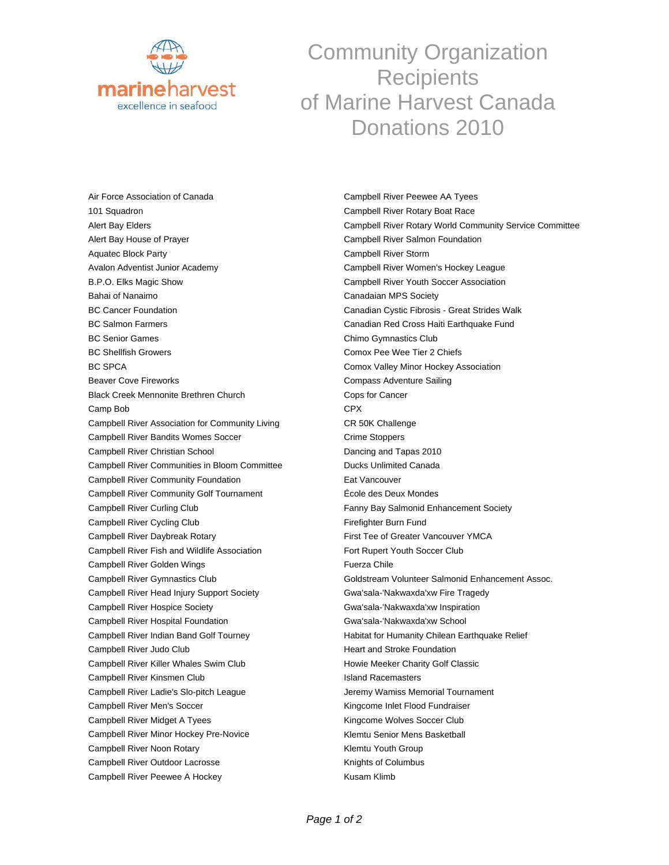

## Community Organization **Recipients** of Marine Harvest Canada Donations 2010

Air Force Association of Canada 101 Squadron Alert Bay Elders Alert Bay House of Prayer Aquatec Block Party Avalon Adventist Junior Academy B.P.O. Elks Magic Show Bahai of Nanaimo BC Cancer Foundation BC Salmon Farmers BC Senior Games BC Shellfish Growers BC SPCA Beaver Cove Fireworks Black Creek Mennonite Brethren Church Camp Bob Campbell River Association for Community Living Campbell River Bandits Womes Soccer Campbell River Christian School Campbell River Communities in Bloom Committee Campbell River Community Foundation Campbell River Community Golf Tournament Campbell River Curling Club Campbell River Cycling Club Campbell River Daybreak Rotary Campbell River Fish and Wildlife Association Campbell River Golden Wings Campbell River Gymnastics Club Campbell River Head Injury Support Society Campbell River Hospice Society Campbell River Hospital Foundation Campbell River Indian Band Golf Tourney Campbell River Judo Club Campbell River Killer Whales Swim Club Campbell River Kinsmen Club Campbell River Ladie's Slo-pitch League Campbell River Men's Soccer Campbell River Midget A Tyees Campbell River Minor Hockey Pre-Novice Campbell River Noon Rotary Campbell River Outdoor Lacrosse Campbell River Peewee A Hockey

Campbell River Peewee AA Tyees Campbell River Rotary Boat Race Campbell River Rotary World Community Service Committee Campbell River Salmon Foundation Campbell River Storm Campbell River Women's Hockey League Campbell River Youth Soccer Association Canadaian MPS Society Canadian Cystic Fibrosis - Great Strides Walk Canadian Red Cross Haiti Earthquake Fund Chimo Gymnastics Club Comox Pee Wee Tier 2 Chiefs Comox Valley Minor Hockey Association Compass Adventure Sailing Cops for Cancer CPX CR 50K Challenge Crime Stoppers Dancing and Tapas 2010 Ducks Unlimited Canada Eat Vancouver École des Deux Mondes Fanny Bay Salmonid Enhancement Society Firefighter Burn Fund First Tee of Greater Vancouver YMCA Fort Rupert Youth Soccer Club Fuerza Chile Goldstream Volunteer Salmonid Enhancement Assoc. Gwa'sala-'Nakwaxda'xw Fire Tragedy Gwa'sala-'Nakwaxda'xw Inspiration Gwa'sala-'Nakwaxda'xw School Habitat for Humanity Chilean Earthquake Relief Heart and Stroke Foundation Howie Meeker Charity Golf Classic Island Racemasters Jeremy Wamiss Memorial Tournament Kingcome Inlet Flood Fundraiser Kingcome Wolves Soccer Club Klemtu Senior Mens Basketball Klemtu Youth Group Knights of Columbus Kusam Klimb